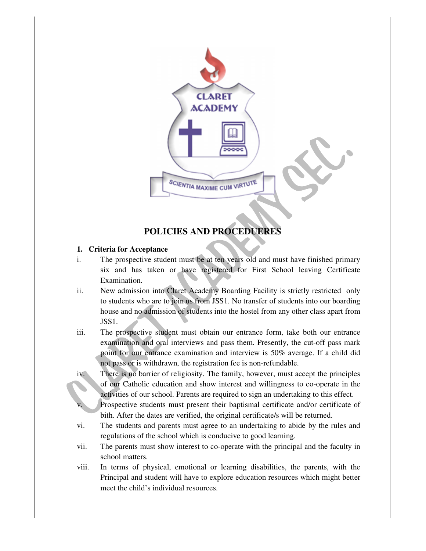

# **POLICIES AND PROCEDUERES**

# **1. Criteria for Acceptance**

- i. The prospective student must be at ten years old and must have finished primary six and has taken or have registered for First School leaving Certificate Examination.
- ii. New admission into Claret Academy Boarding Facility is strictly restricted only to students who are to join us from JSS1. No transfer of students into our boarding house and no admission of students into the hostel from any other class apart from JSS1.
- iii. The prospective student must obtain our entrance form, take both our entrance examination and oral interviews and pass them. Presently, the cut-off pass mark point for our entrance examination and interview is 50% average. If a child did not pass or is withdrawn, the registration fee is non-refundable.
- iv. There is no barrier of religiosity. The family, however, must accept the principles of our Catholic education and show interest and willingness to co-operate in the activities of our school. Parents are required to sign an undertaking to this effect.
	- Prospective students must present their baptismal certificate and/or certificate of bith. After the dates are verified, the original certificate/s will be returned.
- vi. The students and parents must agree to an undertaking to abide by the rules and regulations of the school which is conducive to good learning.
- vii. The parents must show interest to co-operate with the principal and the faculty in school matters.
- viii. In terms of physical, emotional or learning disabilities, the parents, with the Principal and student will have to explore education resources which might better meet the child's individual resources.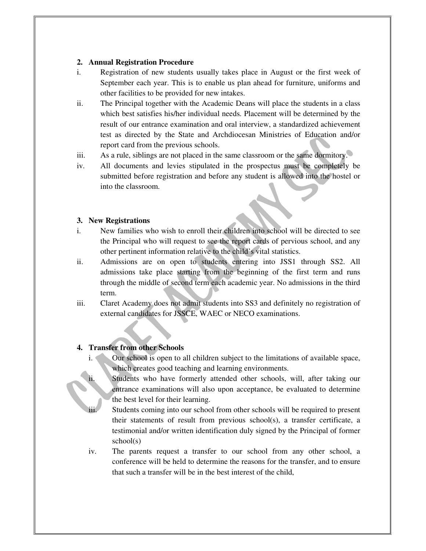## **2. Annual Registration Procedure**

- i. Registration of new students usually takes place in August or the first week of September each year. This is to enable us plan ahead for furniture, uniforms and other facilities to be provided for new intakes.
- ii. The Principal together with the Academic Deans will place the students in a class which best satisfies his/her individual needs. Placement will be determined by the result of our entrance examination and oral interview, a standardized achievement test as directed by the State and Archdiocesan Ministries of Education and/or report card from the previous schools.
- iii. As a rule, siblings are not placed in the same classroom or the same dormitory.
- iv. All documents and levies stipulated in the prospectus must be completely be submitted before registration and before any student is allowed into the hostel or into the classroom.

## **3. New Registrations**

- i. New families who wish to enroll their children into school will be directed to see the Principal who will request to see the report cards of pervious school, and any other pertinent information relative to the child's vital statistics.
- ii. Admissions are on open to students entering into JSS1 through SS2. All admissions take place starting from the beginning of the first term and runs through the middle of second term each academic year. No admissions in the third term.
- iii. Claret Academy does not admit students into SS3 and definitely no registration of external candidates for JSSCE, WAEC or NECO examinations.

# **4. Transfer from other Schools**

- i. Our school is open to all children subject to the limitations of available space, which creates good teaching and learning environments.
	- Students who have formerly attended other schools, will, after taking our entrance examinations will also upon acceptance, be evaluated to determine the best level for their learning.
- iii. Students coming into our school from other schools will be required to present their statements of result from previous school(s), a transfer certificate, a testimonial and/or written identification duly signed by the Principal of former school(s)
- iv. The parents request a transfer to our school from any other school, a conference will be held to determine the reasons for the transfer, and to ensure that such a transfer will be in the best interest of the child,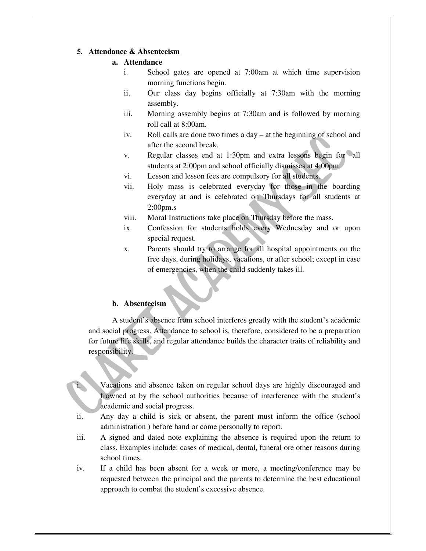#### **5. Attendance & Absenteeism**

## **a. Attendance**

- i. School gates are opened at 7:00am at which time supervision morning functions begin.
- ii. Our class day begins officially at 7:30am with the morning assembly.
- iii. Morning assembly begins at 7:30am and is followed by morning roll call at 8:00am.
- iv. Roll calls are done two times a day at the beginning of school and after the second break.
- v. Regular classes end at 1:30pm and extra lessons begin for all students at 2:00pm and school officially dismisses at 4:00pm
- vi. Lesson and lesson fees are compulsory for all students.
- vii. Holy mass is celebrated everyday for those in the boarding everyday at and is celebrated on Thursdays for all students at 2:00pm.s
- viii. Moral Instructions take place on Thursday before the mass.
- ix. Confession for students holds every Wednesday and or upon special request.
- x. Parents should try to arrange for all hospital appointments on the free days, during holidays, vacations, or after school; except in case of emergencies, when the child suddenly takes ill.

## **b. Absenteeism**

A student's absence from school interferes greatly with the student's academic and social progress. Attendance to school is, therefore, considered to be a preparation for future life skills, and regular attendance builds the character traits of reliability and responsibility.

Vacations and absence taken on regular school days are highly discouraged and frowned at by the school authorities because of interference with the student's academic and social progress.

- ii. Any day a child is sick or absent, the parent must inform the office (school administration ) before hand or come personally to report.
- iii. A signed and dated note explaining the absence is required upon the return to class. Examples include: cases of medical, dental, funeral ore other reasons during school times.
- iv. If a child has been absent for a week or more, a meeting/conference may be requested between the principal and the parents to determine the best educational approach to combat the student's excessive absence.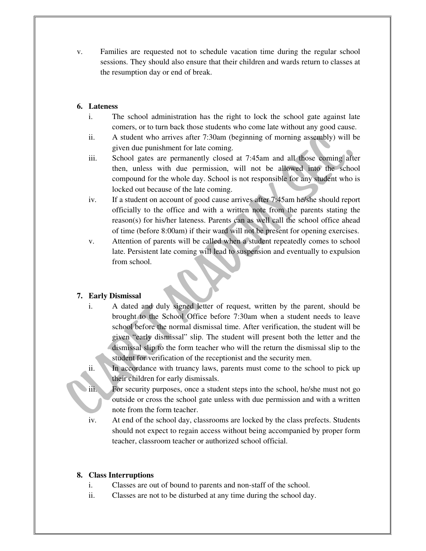v. Families are requested not to schedule vacation time during the regular school sessions. They should also ensure that their children and wards return to classes at the resumption day or end of break.

#### **6. Lateness**

- i. The school administration has the right to lock the school gate against late comers, or to turn back those students who come late without any good cause.
- ii. A student who arrives after 7:30am (beginning of morning assembly) will be given due punishment for late coming.
- iii. School gates are permanently closed at 7:45am and all those coming after then, unless with due permission, will not be allowed into the school compound for the whole day. School is not responsible for any student who is locked out because of the late coming.
- iv. If a student on account of good cause arrives after 7:45am he/she should report officially to the office and with a written note from the parents stating the reason(s) for his/her lateness. Parents can as well call the school office ahead of time (before 8:00am) if their ward will not be present for opening exercises.
- v. Attention of parents will be called when a student repeatedly comes to school late. Persistent late coming will lead to suspension and eventually to expulsion from school.

## **7. Early Dismissal**

- i. A dated and duly signed letter of request, written by the parent, should be brought to the School Office before 7:30am when a student needs to leave school before the normal dismissal time. After verification, the student will be given "early dismissal" slip. The student will present both the letter and the dismissal slip to the form teacher who will the return the dismissal slip to the student for verification of the receptionist and the security men.
- ii. In accordance with truancy laws, parents must come to the school to pick up their children for early dismissals.
- iii. For security purposes, once a student steps into the school, he/she must not go outside or cross the school gate unless with due permission and with a written note from the form teacher.
- iv. At end of the school day, classrooms are locked by the class prefects. Students should not expect to regain access without being accompanied by proper form teacher, classroom teacher or authorized school official.

#### **8. Class Interruptions**

- i. Classes are out of bound to parents and non-staff of the school.
- ii. Classes are not to be disturbed at any time during the school day.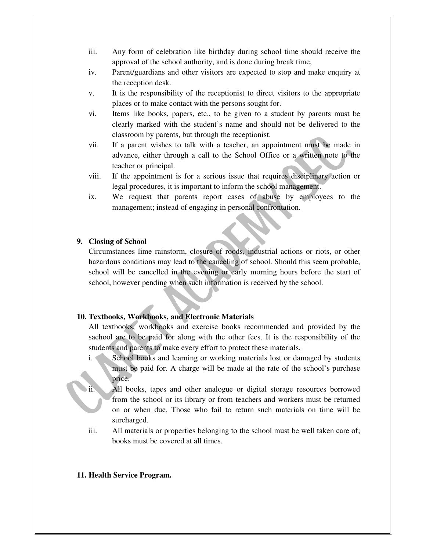- iii. Any form of celebration like birthday during school time should receive the approval of the school authority, and is done during break time,
- iv. Parent/guardians and other visitors are expected to stop and make enquiry at the reception desk.
- v. It is the responsibility of the receptionist to direct visitors to the appropriate places or to make contact with the persons sought for.
- vi. Items like books, papers, etc., to be given to a student by parents must be clearly marked with the student's name and should not be delivered to the classroom by parents, but through the receptionist.
- vii. If a parent wishes to talk with a teacher, an appointment must be made in advance, either through a call to the School Office or a written note to the teacher or principal.
- viii. If the appointment is for a serious issue that requires disciplinary action or legal procedures, it is important to inform the school management.
- ix. We request that parents report cases of abuse by employees to the management; instead of engaging in personal confrontation.

## **9. Closing of School**

Circumstances lime rainstorm, closure of roods, industrial actions or riots, or other hazardous conditions may lead to the canceling of school. Should this seem probable, school will be cancelled in the evening or early morning hours before the start of school, however pending when such information is received by the school.

#### **10. Textbooks, Workbooks, and Electronic Materials**

All textbooks, workbooks and exercise books recommended and provided by the sachool are to be paid for along with the other fees. It is the responsibility of the students and parents to make every effort to protect these materials.

- i. School books and learning or working materials lost or damaged by students must be paid for. A charge will be made at the rate of the school's purchase price.
- ii. All books, tapes and other analogue or digital storage resources borrowed from the school or its library or from teachers and workers must be returned on or when due. Those who fail to return such materials on time will be surcharged.
- iii. All materials or properties belonging to the school must be well taken care of; books must be covered at all times.

#### **11. Health Service Program.**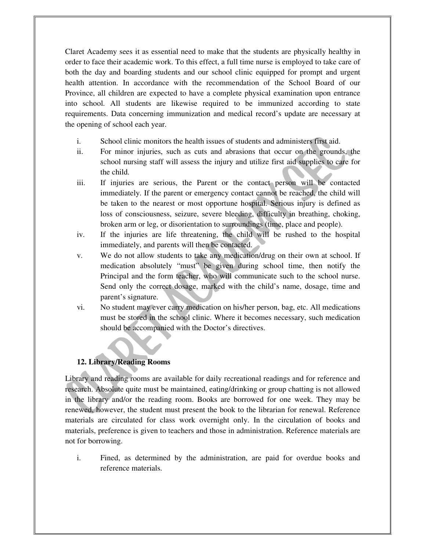Claret Academy sees it as essential need to make that the students are physically healthy in order to face their academic work. To this effect, a full time nurse is employed to take care of both the day and boarding students and our school clinic equipped for prompt and urgent health attention. In accordance with the recommendation of the School Board of our Province, all children are expected to have a complete physical examination upon entrance into school. All students are likewise required to be immunized according to state requirements. Data concerning immunization and medical record's update are necessary at the opening of school each year.

- i. School clinic monitors the health issues of students and administers first aid.
- ii. For minor injuries, such as cuts and abrasions that occur on the grounds, the school nursing staff will assess the injury and utilize first aid supplies to care for the child.
- iii. If injuries are serious, the Parent or the contact person will be contacted immediately. If the parent or emergency contact cannot be reached, the child will be taken to the nearest or most opportune hospital. Serious injury is defined as loss of consciousness, seizure, severe bleeding, difficulty in breathing, choking, broken arm or leg, or disorientation to surroundings (time, place and people).
- iv. If the injuries are life threatening, the child will be rushed to the hospital immediately, and parents will then be contacted.
- v. We do not allow students to take any medication/drug on their own at school. If medication absolutely "must" be given during school time, then notify the Principal and the form teacher, who will communicate such to the school nurse. Send only the correct dosage, marked with the child's name, dosage, time and parent's signature.
- vi. No student may ever carry medication on his/her person, bag, etc. All medications must be stored in the school clinic. Where it becomes necessary, such medication should be accompanied with the Doctor's directives.

# **12. Library/Reading Rooms**

Library and reading rooms are available for daily recreational readings and for reference and research. Absolute quite must be maintained, eating/drinking or group chatting is not allowed in the library and/or the reading room. Books are borrowed for one week. They may be renewed, however, the student must present the book to the librarian for renewal. Reference materials are circulated for class work overnight only. In the circulation of books and materials, preference is given to teachers and those in administration. Reference materials are not for borrowing.

i. Fined, as determined by the administration, are paid for overdue books and reference materials.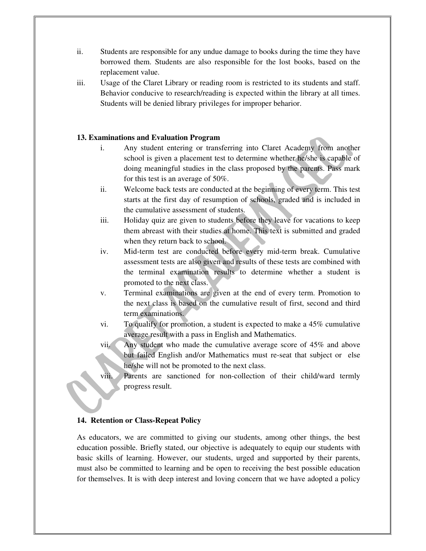- ii. Students are responsible for any undue damage to books during the time they have borrowed them. Students are also responsible for the lost books, based on the replacement value.
- iii. Usage of the Claret Library or reading room is restricted to its students and staff. Behavior conducive to research/reading is expected within the library at all times. Students will be denied library privileges for improper beharior.

# **13. Examinations and Evaluation Program**

- i. Any student entering or transferring into Claret Academy from another school is given a placement test to determine whether he/she is capable of doing meaningful studies in the class proposed by the parents. Pass mark for this test is an average of 50%.
- ii. Welcome back tests are conducted at the beginning of every term. This test starts at the first day of resumption of schools, graded and is included in the cumulative assessment of students.
- iii. Holiday quiz are given to students before they leave for vacations to keep them abreast with their studies at home. This text is submitted and graded when they return back to school.
- iv. Mid-term test are conducted before every mid-term break. Cumulative assessment tests are also given and results of these tests are combined with the terminal examination results to determine whether a student is promoted to the next class.
- v. Terminal examinations are given at the end of every term. Promotion to the next class is based on the cumulative result of first, second and third term examinations.
- vi. To qualify for promotion, a student is expected to make a 45% cumulative average result with a pass in English and Mathematics.
- vii. Any student who made the cumulative average score of 45% and above but failed English and/or Mathematics must re-seat that subject or else he/she will not be promoted to the next class.
- viii. Parents are sanctioned for non-collection of their child/ward termly progress result.

# **14. Retention or Class-Repeat Policy**

As educators, we are committed to giving our students, among other things, the best education possible. Briefly stated, our objective is adequately to equip our students with basic skills of learning. However, our students, urged and supported by their parents, must also be committed to learning and be open to receiving the best possible education for themselves. It is with deep interest and loving concern that we have adopted a policy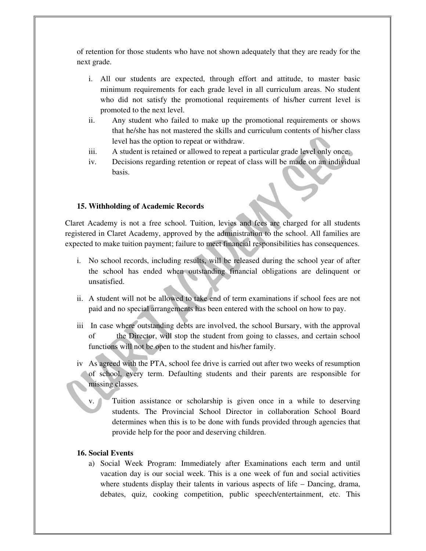of retention for those students who have not shown adequately that they are ready for the next grade.

- i. All our students are expected, through effort and attitude, to master basic minimum requirements for each grade level in all curriculum areas. No student who did not satisfy the promotional requirements of his/her current level is promoted to the next level.
- ii. Any student who failed to make up the promotional requirements or shows that he/she has not mastered the skills and curriculum contents of his/her class level has the option to repeat or withdraw.
- iii. A student is retained or allowed to repeat a particular grade level only once.
- iv. Decisions regarding retention or repeat of class will be made on an individual basis.

## **15. Withholding of Academic Records**

Claret Academy is not a free school. Tuition, levies and fees are charged for all students registered in Claret Academy, approved by the administration to the school. All families are expected to make tuition payment; failure to meet financial responsibilities has consequences.

- i. No school records, including results, will be released during the school year of after the school has ended when outstanding financial obligations are delinquent or unsatisfied.
- ii. A student will not be allowed to take end of term examinations if school fees are not paid and no special arrangements has been entered with the school on how to pay.
- iii In case where outstanding debts are involved, the school Bursary, with the approval of the Director, will stop the student from going to classes, and certain school functions will not be open to the student and his/her family.
- iv As agreed with the PTA, school fee drive is carried out after two weeks of resumption of school, every term. Defaulting students and their parents are responsible for missing classes.
	- v. Tuition assistance or scholarship is given once in a while to deserving students. The Provincial School Director in collaboration School Board determines when this is to be done with funds provided through agencies that provide help for the poor and deserving children.

## **16. Social Events**

a) Social Week Program: Immediately after Examinations each term and until vacation day is our social week. This is a one week of fun and social activities where students display their talents in various aspects of life – Dancing, drama, debates, quiz, cooking competition, public speech/entertainment, etc. This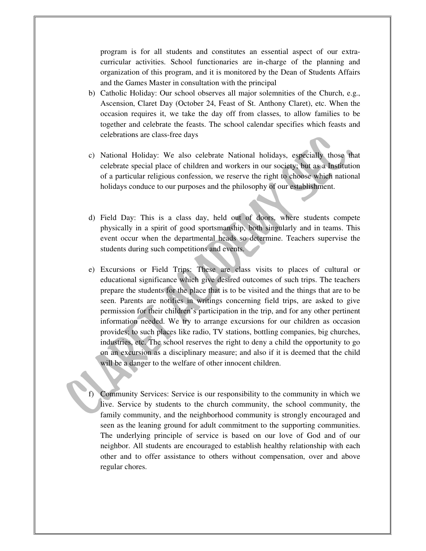program is for all students and constitutes an essential aspect of our extracurricular activities. School functionaries are in-charge of the planning and organization of this program, and it is monitored by the Dean of Students Affairs and the Games Master in consultation with the principal

- b) Catholic Holiday: Our school observes all major solemnities of the Church, e.g., Ascension, Claret Day (October 24, Feast of St. Anthony Claret), etc. When the occasion requires it, we take the day off from classes, to allow families to be together and celebrate the feasts. The school calendar specifies which feasts and celebrations are class-free days
- c) National Holiday: We also celebrate National holidays, especially those that celebrate special place of children and workers in our society; but as a Institution of a particular religious confession, we reserve the right to choose which national holidays conduce to our purposes and the philosophy of our establishment.
- d) Field Day: This is a class day, held out of doors, where students compete physically in a spirit of good sportsmanship, both singularly and in teams. This event occur when the departmental heads so determine. Teachers supervise the students during such competitions and events.
- e) Excursions or Field Trips: These are class visits to places of cultural or educational significance which give desired outcomes of such trips. The teachers prepare the students for the place that is to be visited and the things that are to be seen. Parents are notifies in writings concerning field trips, are asked to give permission for their children's participation in the trip, and for any other pertinent information needed. We try to arrange excursions for our children as occasion provides; to such places like radio, TV stations, bottling companies, big churches, industries, etc. The school reserves the right to deny a child the opportunity to go on an excursion as a disciplinary measure; and also if it is deemed that the child will be a danger to the welfare of other innocent children.
- f) Community Services: Service is our responsibility to the community in which we live. Service by students to the church community, the school community, the family community, and the neighborhood community is strongly encouraged and seen as the leaning ground for adult commitment to the supporting communities. The underlying principle of service is based on our love of God and of our neighbor. All students are encouraged to establish healthy relationship with each other and to offer assistance to others without compensation, over and above regular chores.